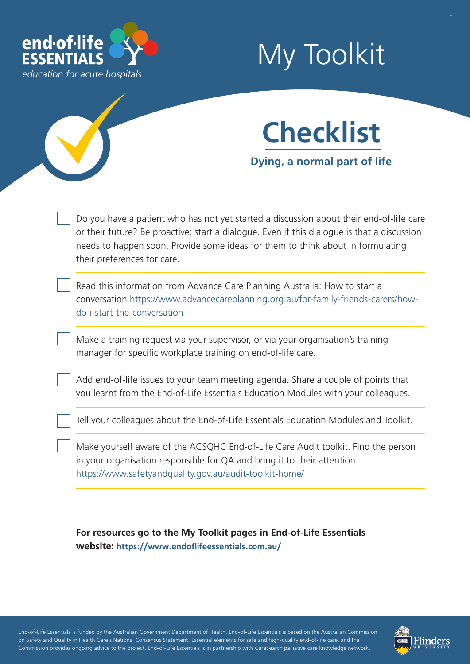

## My Toolkit



Do you have a patient who has not yet started a discussion about their end-of-life care or their future? Be proactive: start a dialogue. Even if this dialogue is that a discussion needs to happen soon. Provide some ideas for them to think about in formulating their preferences for care.

Read this information from Advance Care Planning Australia: How to start a conversation [https://www.advancecareplanning.org.au/for-family-friends-carers/how](https://www.advancecareplanning.org.au/for-family-friends-carers/how-do-i-start-the-conversation)do-i-start-the-conversation

Make a training request via your supervisor, or via your organisation's training manager for specific workplace training on end-of-life care.

Add end-of-life issues to your team meeting agenda. Share a couple of points that you learnt from the End-of-Life Essentials Education Modules with your colleagues.

Tell your colleagues about the End-of-Life Essentials Education Modules and Toolkit.

Make yourself aware of the ACSQHC End-of-Life Care Audit toolkit. Find the person in your organisation responsible for QA and bring it to their attention: <https://www.safetyandquality.gov.au/audit-toolkit-home/>

**For resources go to the My Toolkit pages in End-of-Life Essentials website: <https://www.endoflifeessentials.com.au/>**

End-of-Life Essentials is funded by the Australian Government Department of Health. End-of-Life Essentials is based on the Australian Commission on Safety and Quality in Health Care's National Consensus Statement: Essential elements for safe and high-quality end-of-life care, and the Commission provides ongoing advice to the project. End-of-Life Essentials is in partnership with CareSearch palliative care knowledge network.

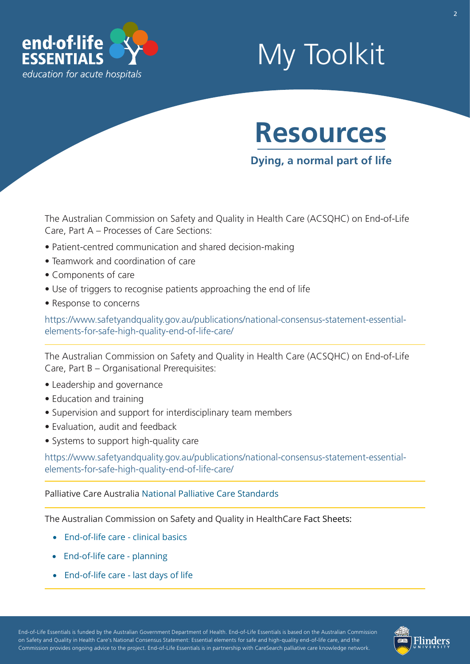

## My Toolkit



**Dying, a normal part of life**

The Australian Commission on Safety and Quality in Health Care (ACSQHC) on End-of-Life Care, Part A – Processes of Care Sections:

- Patient-centred communication and shared decision-making
- Teamwork and coordination of care
- Components of care
- Use of triggers to recognise patients approaching the end of life
- Response to concerns

[https://www.safetyandquality.gov.au/publications/national-consensus-statement-essential](https://www.safetyandquality.gov.au/publications-and-resources/resource-library/national-consensus-statement-essential-elements-safe-and-high-quality-end-life-care)elements-for-safe-high-quality-end-of-life-care/

The Australian Commission on Safety and Quality in Health Care (ACSQHC) on End-of-Life Care, Part B – Organisational Prerequisites:

- Leadership and governance
- Education and training
- Supervision and support for interdisciplinary team members
- Evaluation, audit and feedback
- Systems to support high-quality care

[https://www.safetyandquality.gov.au/publications/national-consensus-statement-essential](https://www.safetyandquality.gov.au/publications-and-resources/resource-library/national-consensus-statement-essential-elements-safe-and-high-quality-end-life-care)elements-for-safe-high-quality-end-of-life-care/

Palliative Care Australia [National Palliative Care Standards](https://palliativecare.org.au/standards)

The Australian Commission on Safety and Quality in HealthCare Fact Sheets:

- [End-of-life care clinical basics](https://www.safetyandquality.gov.au/publications-and-resources/resource-library/end-life-care-clinical-basics)
- [End-of-life care planning](https://www.safetyandquality.gov.au/wp-content/uploads/2011/09/NSQHS-Standards-Sept-2012.pdf)
- [End-of-life care last days of life](https://www.safetyandquality.gov.au/publications-and-resources/resource-library/end-life-care-last-days-life)

End-of-Life Essentials is funded by the Australian Government Department of Health. End-of-Life Essentials is based on the Australian Commission on Safety and Quality in Health Care's National Consensus Statement: Essential elements for safe and high-quality end-of-life care, and the Commission provides ongoing advice to the project. End-of-Life Essentials is in partnership with CareSearch palliative care knowledge network.